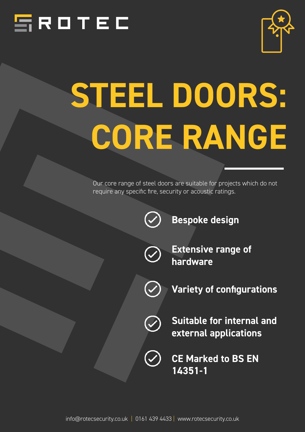



# **STEEL DOORS: CORE RANGE**

Our core range of steel doors are suitable for projects which do not require any specific fire, security or acoustic ratings.



**Bespoke design**



**Extensive range of hardware**





 $\bigodot$ 

**Suitable for internal and external applications**

**CE Marked to BS EN 14351-1**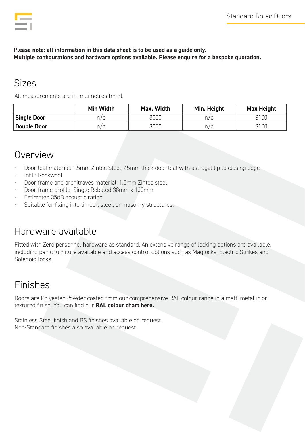|  | $\mathcal{L}(\mathcal{L})$ and $\mathcal{L}(\mathcal{L})$ and $\mathcal{L}(\mathcal{L})$ and $\mathcal{L}(\mathcal{L})$ |  |
|--|-------------------------------------------------------------------------------------------------------------------------|--|
|  |                                                                                                                         |  |
|  |                                                                                                                         |  |
|  |                                                                                                                         |  |
|  |                                                                                                                         |  |
|  |                                                                                                                         |  |

#### **Please note: all information in this data sheet is to be used as a guide only. Multiple configurations and hardware options available. Please enquire for a bespoke quotation.**

## Sizes

All measurements are in millimetres (mm).

|                    | <b>Min Width</b> | Max. Width | Min. Height | Max Height |
|--------------------|------------------|------------|-------------|------------|
| <b>Single Door</b> | n/a              | 3000       | n/a         | 3100       |
| Double Door        | n/a              | 3000       | n/a         | 3100       |

### Overview

- Door leaf material: 1.5mm Zintec Steel, 45mm thick door leaf with astragal lip to closing edge
- Infill: Rockwool
- Door frame and architraves material: 1.5mm Zintec steel
- Door frame profile: Single Rebated 38mm x 100mm
- Estimated 35dB acoustic rating
- Suitable for fixing into timber, steel, or masonry structures.

# Hardware available

Fitted with Zero personnel hardware as standard. An extensive range of locking options are available, including panic furniture available and access control options such as Maglocks, Electric Strikes and Solenoid locks.

## Finishes

Doors are Polyester Powder coated from our comprehensive RAL colour range in a matt, metallic or textured finish. You can find our **[RAL colour chart here.](https://www.rotecsecurity.co.uk/wp-content/uploads/2021/11/RAL-Colour-Chart.pdf)**

Stainless Steel finish and BS finishes available on request. Non-Standard finishes also available on request.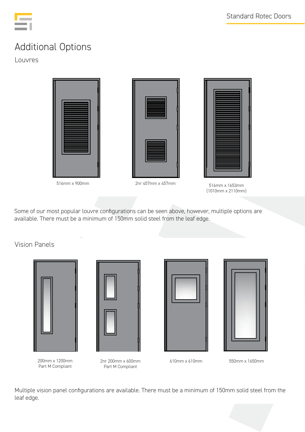

# Additional Options

Louvres



Some of our most popular louvre configurations can be seen above, however, multiple options are available. There must be a minimum of 150mm solid steel from the leaf edge.

Vision Panels





200mm x 1200mm Part M Compliant

2nr 200mm x 600mm Part M Compliant





610mm x 610mm 550mm x 1650mm

Multiple vision panel configurations are available. There must be a minimum of 150mm solid steel from the leaf edge.